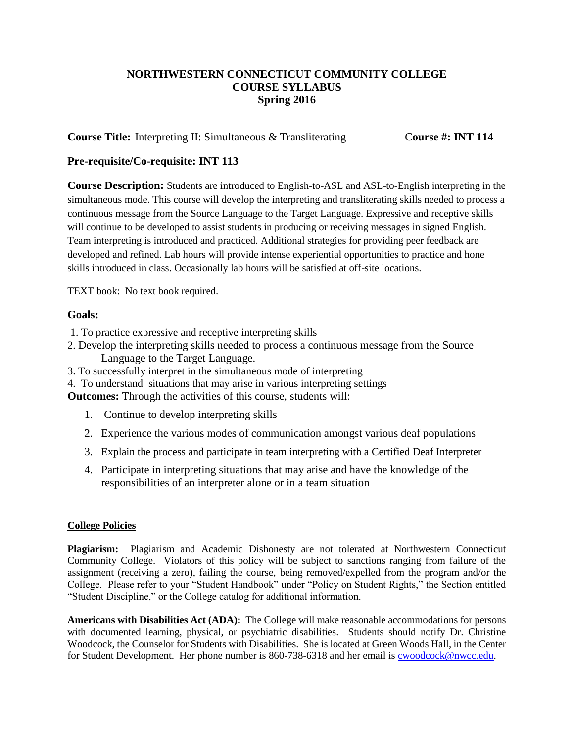# **NORTHWESTERN CONNECTICUT COMMUNITY COLLEGE COURSE SYLLABUS Spring 2016**

**Course Title:** Interpreting II: Simultaneous & Transliterating Course #: **INT** 114

## **Pre-requisite/Co-requisite: INT 113**

**Course Description:** Students are introduced to English-to-ASL and ASL-to-English interpreting in the simultaneous mode. This course will develop the interpreting and transliterating skills needed to process a continuous message from the Source Language to the Target Language. Expressive and receptive skills will continue to be developed to assist students in producing or receiving messages in signed English. Team interpreting is introduced and practiced. Additional strategies for providing peer feedback are developed and refined. Lab hours will provide intense experiential opportunities to practice and hone skills introduced in class. Occasionally lab hours will be satisfied at off-site locations.

TEXT book: No text book required.

## **Goals:**

- 1. To practice expressive and receptive interpreting skills
- 2. Develop the interpreting skills needed to process a continuous message from the Source Language to the Target Language.
- 3. To successfully interpret in the simultaneous mode of interpreting
- 4. To understand situations that may arise in various interpreting settings

**Outcomes:** Through the activities of this course, students will:

- 1. Continue to develop interpreting skills
- 2. Experience the various modes of communication amongst various deaf populations
- 3. Explain the process and participate in team interpreting with a Certified Deaf Interpreter
- 4. Participate in interpreting situations that may arise and have the knowledge of the responsibilities of an interpreter alone or in a team situation

### **College Policies**

**Plagiarism:** Plagiarism and Academic Dishonesty are not tolerated at Northwestern Connecticut Community College. Violators of this policy will be subject to sanctions ranging from failure of the assignment (receiving a zero), failing the course, being removed/expelled from the program and/or the College. Please refer to your "Student Handbook" under "Policy on Student Rights," the Section entitled "Student Discipline," or the College catalog for additional information.

**Americans with Disabilities Act (ADA):** The College will make reasonable accommodations for persons with documented learning, physical, or psychiatric disabilities. Students should notify Dr. Christine Woodcock, the Counselor for Students with Disabilities. She is located at Green Woods Hall, in the Center for Student Development. Her phone number is 860-738-6318 and her email is [cwoodcock@nwcc.edu.](mailto:cwoodcock@nwcc.edu)